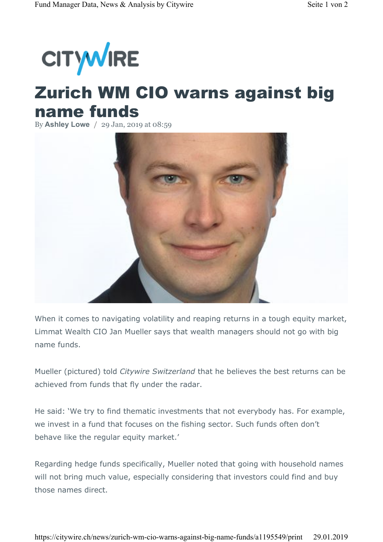

## Zurich WM CIO warns against big name funds

By **Ashley Lowe** / 29 Jan, 2019 at 08:59



When it comes to navigating volatility and reaping returns in a tough equity market, Limmat Wealth CIO Jan Mueller says that wealth managers should not go with big name funds.

Mueller (pictured) told *Citywire Switzerland* that he believes the best returns can be achieved from funds that fly under the radar.

He said: 'We try to find thematic investments that not everybody has. For example, we invest in a fund that focuses on the fishing sector. Such funds often don't behave like the regular equity market.'

Regarding hedge funds specifically, Mueller noted that going with household names will not bring much value, especially considering that investors could find and buy those names direct.